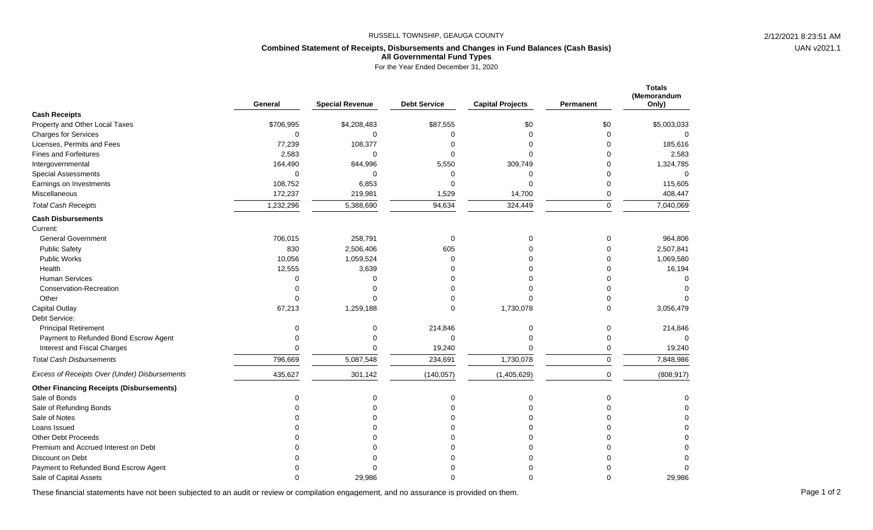## RUSSELL TOWNSHIP, GEAUGA COUNTY 2/12/2021 8:23:51 AM

## **Combined Statement of Receipts, Disbursements and Changes in Fund Balances (Cash Basis) All Governmental Fund Types**

For the Year Ended December 31, 2020

|                                                 | General     | <b>Special Revenue</b> | <b>Debt Service</b> | <b>Capital Projects</b> | Permanent   | <b>Totals</b><br>(Memorandum<br>Only) |
|-------------------------------------------------|-------------|------------------------|---------------------|-------------------------|-------------|---------------------------------------|
| <b>Cash Receipts</b>                            |             |                        |                     |                         |             |                                       |
| Property and Other Local Taxes                  | \$706,995   | \$4,208,483            | \$87,555            | \$0                     | \$0         | \$5,003,033                           |
| <b>Charges for Services</b>                     | $\Omega$    | $\mathbf 0$            | $\mathbf 0$         | $\Omega$                | $\mathbf 0$ | $\Omega$                              |
| Licenses, Permits and Fees                      | 77,239      | 108,377                | 0                   | $\Omega$                | $\Omega$    | 185,616                               |
| <b>Fines and Forfeitures</b>                    | 2,583       | $\Omega$               | $\Omega$            | $\Omega$                | O           | 2,583                                 |
| Intergovernmental                               | 164,490     | 844,996                | 5,550               | 309,749                 | 0           | 1,324,785                             |
| <b>Special Assessments</b>                      | $\mathbf 0$ | $\mathbf 0$            | $\Omega$            | $\mathbf 0$             | 0           | $\Omega$                              |
| Earnings on Investments                         | 108,752     | 6,853                  | $\Omega$            | $\Omega$                | 0           | 115,605                               |
| Miscellaneous                                   | 172,237     | 219,981                | 1,529               | 14,700                  | 0           | 408,447                               |
| <b>Total Cash Receipts</b>                      | 1,232,296   | 5,388,690              | 94,634              | 324,449                 | 0           | 7,040,069                             |
| <b>Cash Disbursements</b>                       |             |                        |                     |                         |             |                                       |
| Current:                                        |             |                        |                     |                         |             |                                       |
| <b>General Government</b>                       | 706,015     | 258,791                | $\mathbf 0$         | $\Omega$                | 0           | 964,806                               |
| <b>Public Safety</b>                            | 830         | 2,506,406              | 605                 | $\Omega$                | 0           | 2,507,841                             |
| Public Works                                    | 10,056      | 1,059,524              | $\Omega$            | O                       | 0           | 1,069,580                             |
| Health                                          | 12,555      | 3,639                  | ሰ                   | ∩                       | 0           | 16,194                                |
| <b>Human Services</b>                           | $\mathbf 0$ | $\Omega$               | U                   | ∩                       | O           |                                       |
| Conservation-Recreation                         | $\Omega$    | $\Omega$               | O                   | $\Omega$                | $\Omega$    |                                       |
| Other                                           | $\Omega$    | $\Omega$               |                     | $\Omega$                | O           |                                       |
| <b>Capital Outlay</b>                           | 67,213      | 1,259,188              | $\Omega$            | 1,730,078               | $\Omega$    | 3,056,479                             |
| Debt Service:                                   |             |                        |                     |                         |             |                                       |
| <b>Principal Retirement</b>                     | 0           | 0                      | 214,846             | $\Omega$                | 0           | 214,846                               |
| Payment to Refunded Bond Escrow Agent           | $\Omega$    | $\mathbf 0$            | $\mathbf 0$         | $\Omega$                | $\Omega$    | $\Omega$                              |
| Interest and Fiscal Charges                     | $\Omega$    | $\Omega$               | 19,240              | $\Omega$                | 0           | 19,240                                |
| <b>Total Cash Disbursements</b>                 | 796,669     | 5,087,548              | 234,691             | 1,730,078               | 0           | 7,848,986                             |
| Excess of Receipts Over (Under) Disbursements   | 435,627     | 301,142                | (140, 057)          | (1,405,629)             | $\Omega$    | (808, 917)                            |
| <b>Other Financing Receipts (Disbursements)</b> |             |                        |                     |                         |             |                                       |
| Sale of Bonds                                   | 0           | $\mathbf 0$            | 0                   | $\Omega$                | 0           | $\Omega$                              |
| Sale of Refunding Bonds                         | $\Omega$    | $\Omega$               | $\Omega$            | $\Omega$                | 0           | $\Omega$                              |
| Sale of Notes                                   |             |                        |                     | ∩                       | U           | U                                     |
| Loans Issued                                    |             |                        |                     | ∩                       | U           |                                       |
| Other Debt Proceeds                             |             | $\Omega$               | ი                   | $\Omega$                | O           | $\Omega$                              |
| Premium and Accrued Interest on Debt            |             |                        | ሰ                   | ∩                       | U           | $\Omega$                              |
| Discount on Debt                                |             |                        |                     |                         |             |                                       |
| Payment to Refunded Bond Escrow Agent           |             |                        |                     |                         |             | $\Omega$                              |
| Sale of Capital Assets                          | ∩           | 29.986                 | ∩                   |                         | U           | 29.986                                |

These financial statements have not been subjected to an audit or review or compilation engagement, and no assurance is provided on them.